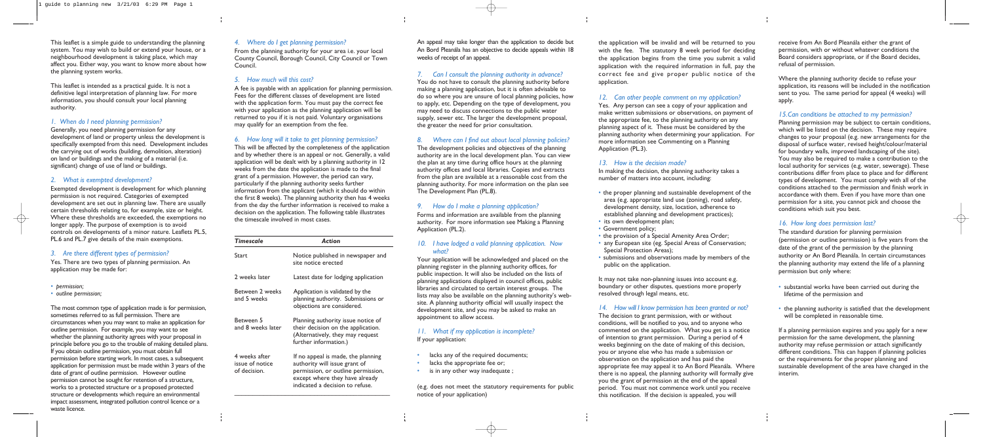This leaflet is a simple guide to understanding the planning system. You may wish to build or extend your house, or a neighbourhood development is taking place, which may affect you. Either way, you want to know more about how the planning system works.

This leaflet is intended as a practical guide. It is not a definitive legal interpretation of planning law. For more information, you should consult your local planning authority.

# *1. When do I need planning permission?*

Generally, you need planning permission for any development of land or property unless the development is specifically exempted from this need. Development includes the carrying out of works (building, demolition, alteration) on land or buildings and the making of a material (i.e. significant) change of use of land or buildings.

#### *2. What is exempted development?*

Exempted development is development for which planning permission is not required. Categories of exempted development are set out in planning law. There are usually certain thresholds relating to, for example, size or height. Where these thresholds are exceeded, the exemptions no longer apply. The purpose of exemption is to avoid controls on developments of a minor nature. Leaflets PL.5, PL.6 and PL.7 give details of the main exemptions.

## *3. Are there different types of permission?*

Yes. There are two types of planning permission. An application may be made for:

- *• permission;*
- *• outline permission;*

The most common type of application made is for permission, sometimes referred to as full permission. There are circumstances when you may want to make an application for outline permission. For example, you may want to see whether the planning authority agrees with your proposal in principle before you go to the trouble of making detailed plans. If you obtain outline permission, you must obtain full permission before starting work. In most cases, a subsequent application for permission must be made within 3 years of the date of grant of outline permission. However outline permission cannot be sought for retention of a structure, works to a protected structure or a proposed protected structure or developments which require an environmental impact assessment, integrated pollution control licence or a waste licence.

### *4. Where do I get planning permission?*

From the planning authority for your area i.e. your local County Council, Borough Council, City Council or Town Council.

#### *5. How much will this cost?*

A fee is payable with an application for planning permission. Fees for the different classes of development are listed with the application form. You must pay the correct fee with your application as the planning application will be returned to you if it is not paid. Voluntary organisations may qualify for an exemption from the fee.

### *6. How long will it take to get planning permission?*

This will be affected by the completeness of the application and by whether there is an appeal or not. Generally, a valid application will be dealt with by a planning authority in 12 weeks from the date the application is made to the final grant of a permission. However, the period can vary, particularly if the planning authority seeks further information from the applicant (which it should do within the first 8 weeks). The planning authority then has 4 weeks from the day the further information is received to make a decision on the application. The following table illustrates the timescale involved in most cases.

| Timescale                                        | Action                                                                                                                                                                         |
|--------------------------------------------------|--------------------------------------------------------------------------------------------------------------------------------------------------------------------------------|
| Start.                                           | Notice published in newspaper and<br>site notice erected                                                                                                                       |
| 2 weeks later                                    | Latest date for lodging application                                                                                                                                            |
| Between 2 weeks<br>and 5 weeks                   | Application is validated by the<br>planning authority. Submissions or<br>objections are considered.                                                                            |
| Between 5<br>and 8 weeks later                   | Planning authority issue notice of<br>their decision on the application.<br>(Alternatively, they may request<br>further information.)                                          |
| 4 weeks after<br>issue of notice<br>of decision. | If no appeal is made, the planning<br>authority will issue grant of<br>permission, or outline permission,<br>except where they have already<br>indicated a decision to refuse. |

An appeal may take longer than the application to decide but An Bord Pleanála has an objective to decide appeals within 18 weeks of receipt of an appeal.

## *7. Can I consult the planning authority in advance?*

You do not have to consult the planning authority before making a planning application, but it is often advisable to do so where you are unsure of local planning policies, how to apply, etc. Depending on the type of development, you may need to discuss connections to the public water supply, sewer etc. The larger the development proposal, the greater the need for prior consultation.

## *8. Where can I find out about local planning policies?*

- substantial works have been carried out during the lifetime of the permission and
- the planning authority is satisfied that the development will be completed in reasonable time.

The development policies and objectives of the planning authority are in the local development plan. You can view the plan at any time during office hours at the planning authority offices and local libraries. Copies and extracts from the plan are available at a reasonable cost from the planning authority. For more information on the plan see The Development Plan (PL.8).

# *9. How do I make a planning application?*

Forms and information are available from the planning authority. For more information see Making a Planning Application (PL.2).

## *10. I have lodged a valid planning application. Now what?*

Your application will be acknowledged and placed on the planning register in the planning authority offices, for public inspection. It will also be included on the lists of planning applications displayed in council offices, public libraries and circulated to certain interest groups. The lists may also be available on the planning authority's website. A planning authority official will usually inspect the development site, and you may be asked to make an appointment to allow access.

## *11. What if my application is incomplete?* If your application:

- lacks any of the required documents;
- lacks the appropriate fee or;
- is in any other way inadequate;

(e.g. does not meet the statutory requirements for public notice of your application)

the application will be invalid and will be returned to you with the fee. The statutory 8 week period for deciding the application begins from the time you submit a valid application with the required information in full, pay the correct fee and give proper public notice of the application.

### *12. Can other people comment on my application?*

Yes. Any person can see a copy of your application and make written submissions or observations, on payment of the appropriate fee, to the planning authority on any planning aspect of it. These must be considered by the planning authority when determining your application. For more information see Commenting on a Planning Application (PL.3).

### *13. How is the decision made?*

In making the decision, the planning authority takes a number of matters into account, including:

- the proper planning and sustainable development of the area (e.g. appropriate land use (zoning), road safety, development density, size, location, adherence to established planning and development practices);
- its own development plan;
- Government policy;
- the provision of a Special Amenity Area Order;
- any European site (eg. Special Areas of Conservation; Special Protection Areas);
- submissions and observations made by members of the public on the application.

It may not take non-planning issues into account e.g. boundary or other disputes, questions more properly resolved through legal means, etc.

#### *14. How will I know permission has been granted or not?*

The decision to grant permission, with or without conditions, will be notified to you, and to anyone who commented on the application. What you get is a notice of intention to grant permission. During a period of 4 weeks beginning on the date of making of this decision, you or anyone else who has made a submission or observation on the application and has paid the appropriate fee may appeal it to An Bord Pleanála. Where there is no appeal, the planning authority will formally give you the grant of permission at the end of the appeal period. You must not commence work until you receive this notification. If the decision is appealed, you will

receive from An Bord Pleanála either the grant of permission, with or without whatever conditions the Board considers appropriate, or if the Board decides, refusal of permission.

Where the planning authority decide to refuse your application, its reasons will be included in the notification sent to you. The same period for appeal (4 weeks) will apply.

## *15.Can conditions be attached to my permission?*

Planning permission may be subject to certain conditions, which will be listed on the decision. These may require changes to your proposal (e.g. new arrangements for the disposal of surface water, revised height/colour/material for boundary walls, improved landscaping of the site). You may also be required to make a contribution to the local authority for services (e.g. water, sewerage). These contributions differ from place to place and for different types of development. You must comply with all of the conditions attached to the permission and finish work in accordance with them. Even if you have more than one permission for a site, you cannot pick and choose the conditions which suit you best.

## *16. How long does permission last?*

The standard duration for planning permission (permission or outline permission) is five years from the date of the grant of the permission by the planning authority or An Bord Pleanála. In certain circumstances the planning authority may extend the life of a planning permission but only where:

If a planning permission expires and you apply for a new permission for the same development, the planning authority may refuse permission or attach significantly different conditions. This can happen if planning policies or the requirements for the proper planning and sustainable development of the area have changed in the interim.